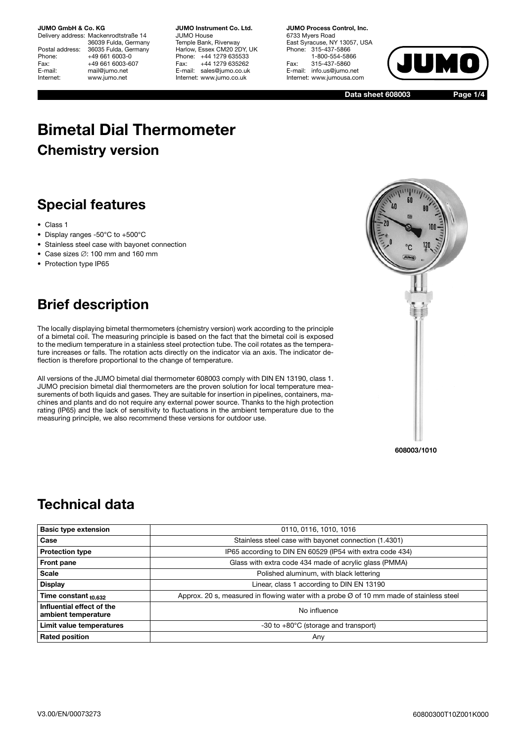Delivery address: Mackenrodtstraße 14 36039 Fulda, Germany Postal address: 36035 Fulda, Germany<br>Phone: +49 661 6003-0 Phone: +49 661 6003-0<br>Fax: +49 661 6003-6 Fax: +49 661 6003-607<br>E-mail: mail@iumo.net mail@jumo.net Internet: www.jumo.net

**JUMO Instrument Co. Ltd.** JUMO House Temple Bank, Riverway Harlow, Essex CM20 2DY, UK Phone: +44 1279 635533 Fax: +44 1279 635262 E-mail: sales@jumo.co.uk Internet: www.jumo.co.uk

**JUMO Process Control, Inc.** 6733 Myers Road East Syracuse, NY 13057, USA Phone: 315-437-5866 1-800-554-5866 Fax: 315-437-5860 E-mail: info.us@jumo.net Internet: www.jumousa.com



**Data sheet 608003**

**Page 1/4**

# **Bimetal Dial Thermometer Chemistry version**

## **Special features**

- Class 1
- Display ranges -50°C to +500°C
- Stainless steel case with bayonet connection
- Case sizes ∅: 100 mm and 160 mm
- Protection type IP65

## **Brief description**

The locally displaying bimetal thermometers (chemistry version) work according to the principle of a bimetal coil. The measuring principle is based on the fact that the bimetal coil is exposed to the medium temperature in a stainless steel protection tube. The coil rotates as the temperature increases or falls. The rotation acts directly on the indicator via an axis. The indicator deflection is therefore proportional to the change of temperature.

All versions of the JUMO bimetal dial thermometer 608003 comply with DIN EN 13190, class 1. JUMO precision bimetal dial thermometers are the proven solution for local temperature measurements of both liquids and gases. They are suitable for insertion in pipelines, containers, machines and plants and do not require any external power source. Thanks to the high protection rating (IP65) and the lack of sensitivity to fluctuations in the ambient temperature due to the measuring principle, we also recommend these versions for outdoor use.



**608003/1010**

### **Technical data**

| <b>Basic type extension</b>                      | 0110, 0116, 1010, 1016                                                                              |  |  |  |  |  |  |
|--------------------------------------------------|-----------------------------------------------------------------------------------------------------|--|--|--|--|--|--|
| Case                                             | Stainless steel case with bayonet connection (1.4301)                                               |  |  |  |  |  |  |
| <b>Protection type</b>                           | IP65 according to DIN EN 60529 (IP54 with extra code 434)                                           |  |  |  |  |  |  |
| Front pane                                       | Glass with extra code 434 made of acrylic glass (PMMA)                                              |  |  |  |  |  |  |
| <b>Scale</b>                                     | Polished aluminum, with black lettering                                                             |  |  |  |  |  |  |
| <b>Display</b>                                   | Linear, class 1 according to DIN EN 13190                                                           |  |  |  |  |  |  |
| Time constant $_{t0.632}$                        | Approx. 20 s, measured in flowing water with a probe $\varnothing$ of 10 mm made of stainless steel |  |  |  |  |  |  |
| Influential effect of the<br>ambient temperature | No influence                                                                                        |  |  |  |  |  |  |
| Limit value temperatures                         | $-30$ to $+80^{\circ}$ C (storage and transport)                                                    |  |  |  |  |  |  |
| <b>Rated position</b>                            | Any                                                                                                 |  |  |  |  |  |  |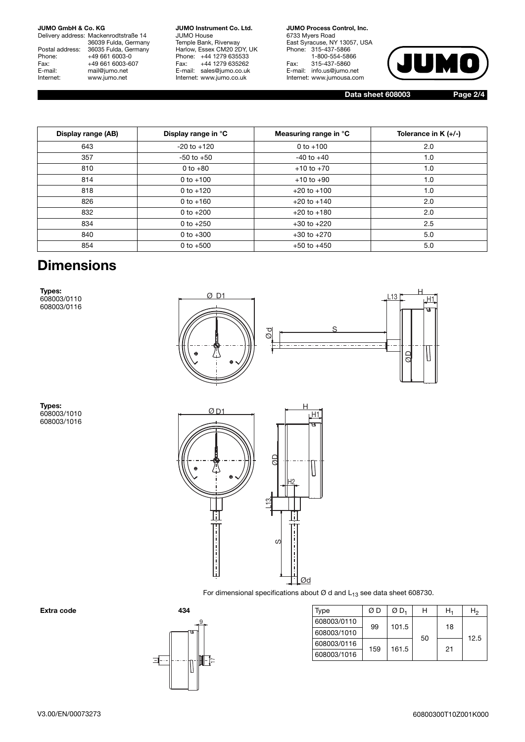Delivery address: Mackenrodtstraße 14 36039 Fulda, Germany Postal address: 36035 Fulda, Germany Phone: +49 661 6003-0<br>Fax: +49 661 6003-6 Fax: +49 661 6003-607<br>E-mail: mail@jumo.net E-mail: mail@jumo.net<br>
Internet: www.iumo.net www.jumo.net

**JUMO Instrument Co. Ltd.** JUMO House Temple Bank, Riverway Harlow, Essex CM20 2DY, UK Phone: +44 1279 635533<br>Fax: +44 1279 635262 +44 1279 635262 E-mail: sales@jumo.co.uk Internet: www.jumo.co.uk

**JUMO Process Control, Inc.** 6733 Myers Road East Syracuse, NY 13057, USA Phone: 315-437-5866 1-800-554-5866 Fax: 315-437-5860 E-mail: info.us@jumo.net Internet: www.jumousa.com



H1 H

IJ

**Data sheet 608003 Page 2/4**

| Display range (AB) | Display range in °C | Measuring range in °C | Tolerance in $K (+/-)$ |
|--------------------|---------------------|-----------------------|------------------------|
| 643                | $-20$ to $+120$     | 0 to $+100$           | 2.0                    |
| 357                | $-50$ to $+50$      | $-40$ to $+40$        | 1.0                    |
| 810                | 0 to $+80$          | $+10$ to $+70$        | 1.0                    |
| 814                | 0 to $+100$         | $+10$ to $+90$        | 1.0                    |
| 818                | 0 to $+120$         | $+20$ to $+100$       | 1.0                    |
| 826                | 0 to $+160$         | $+20$ to $+140$       | 2.0                    |
| 832                | 0 to $+200$         | $+20$ to $+180$       | 2.0                    |
| 834                | 0 to $+250$         | $+30$ to $+220$       | 2.5                    |
| 840                | 0 to $+300$         | $+30$ to $+270$       | 5.0                    |
| 854                | 0 to $+500$         | $+50$ to $+450$       | 5.0                    |

### **Dimensions**

**Types:** 608003/0110 608003/0116



**Types:** 608003/1010 608003/1016



For dimensional specifications about  $\varnothing$  d and  $L_{13}$  see data sheet 608730.



| Extra code | 434 | Type        | ØΒ  | ØD <sub>1</sub> | н  | $H_1$ | H <sub>2</sub> |
|------------|-----|-------------|-----|-----------------|----|-------|----------------|
|            |     | 608003/0110 | 99  | 101.5           |    | 18    |                |
|            |     | 608003/1010 |     |                 | 50 |       | 12.5           |
|            |     | 608003/0116 |     |                 |    |       |                |
|            | ШТ  | 608003/1016 | 159 | 161.5           |    | 21    |                |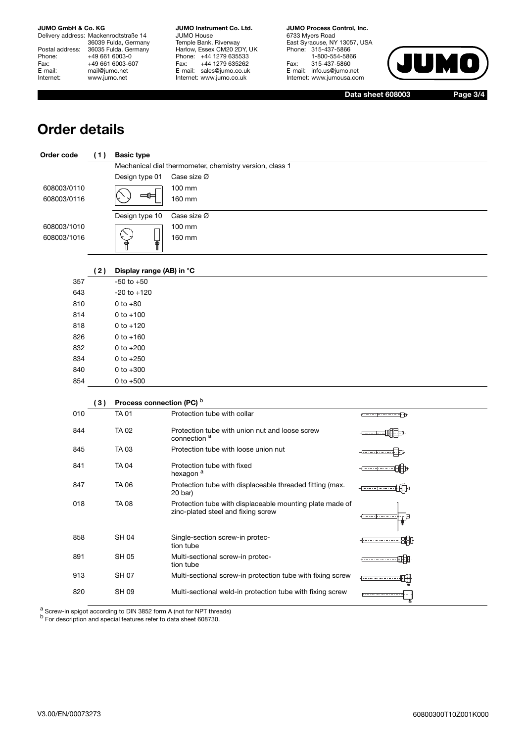Delivery address: Mackenrodtstraße 14 36039 Fulda, Germany Postal address: 36035 Fulda, Germany Phone: +49 661 6003-0<br>Fax: +49 661 6003-60 Fax: +49 661 6003-607<br>E-mail: mail@jumo.net E-mail: mail@jumo.net<br>Internet: www.iumo.net www.jumo.net

**JUMO Instrument Co. Ltd.** JUMO House Temple Bank, Riverway Harlow, Essex CM20 2DY, UK Phone: +44 1279 635533 Fax: +44 1279 635262 E-mail: sales@jumo.co.uk Internet: www.jumo.co.uk

**JUMO Process Control, Inc.** 6733 Myers Road East Syracuse, NY 13057, USA Phone: 315-437-5866 1-800-554-5866 Fax: 315-437-5860 E-mail: info.us@jumo.net Internet: www.jumousa.com



**Data sheet 608003 Page 3/4**

### **Order details**

| Order code  | (1) | <b>Basic type</b>         |                                                                                                |                                           |
|-------------|-----|---------------------------|------------------------------------------------------------------------------------------------|-------------------------------------------|
|             |     |                           | Mechanical dial thermometer, chemistry version, class 1                                        |                                           |
|             |     | Design type 01            | Case size Ø                                                                                    |                                           |
| 608003/0110 |     |                           | 100 mm                                                                                         |                                           |
| 608003/0116 |     | ≔0⊧                       | 160 mm                                                                                         |                                           |
|             |     | Design type 10            | Case size Ø                                                                                    |                                           |
| 608003/1010 |     |                           | 100 mm                                                                                         |                                           |
| 608003/1016 |     | Ŧ                         | 160 mm                                                                                         |                                           |
|             | (2) | Display range (AB) in °C  |                                                                                                |                                           |
| 357         |     | $-50$ to $+50$            |                                                                                                |                                           |
| 643         |     | $-20$ to $+120$           |                                                                                                |                                           |
| 810         |     | $0 to +80$                |                                                                                                |                                           |
| 814         |     | $0 to +100$               |                                                                                                |                                           |
| 818         |     | $0$ to $+120$             |                                                                                                |                                           |
| 826         |     | $0 to +160$               |                                                                                                |                                           |
| 832         |     | 0 to $+200$               |                                                                                                |                                           |
| 834         |     | 0 to $+250$               |                                                                                                |                                           |
| 840         |     | 0 to $+300$               |                                                                                                |                                           |
| 854         |     | 0 to $+500$               |                                                                                                |                                           |
|             | (3) | Process connection (PC) b |                                                                                                |                                           |
| 010         |     | <b>TA01</b>               | Protection tube with collar                                                                    | <del>1000000000000</del>                  |
| 844         |     | <b>TA 02</b>              | Protection tube with union nut and loose screw<br>connection <sup>a</sup>                      |                                           |
| 845         |     | TA 03                     | Protection tube with loose union nut                                                           |                                           |
| 841         |     | <b>TA04</b>               | Protection tube with fixed<br>hexagon <sup>a</sup>                                             |                                           |
| 847         |     | <b>TA 06</b>              | Protection tube with displaceable threaded fitting (max.<br>20 bar)                            |                                           |
| 018         |     | <b>TA08</b>               | Protection tube with displaceable mounting plate made of<br>zinc-plated steel and fixing screw | 4 - - - F                                 |
| 858         |     | <b>SH04</b>               | Single-section screw-in protec-<br>tion tube                                                   | - <del>- - - - - - - - - - -</del> - H-II |
| 891         |     | <b>SH 05</b>              | Multi-sectional screw-in protec-<br>tion tube                                                  | ŒÐ                                        |
| 913         |     | <b>SH 07</b>              | Multi-sectional screw-in protection tube with fixing screw                                     |                                           |
| 820         |     | <b>SH 09</b>              | Multi-sectional weld-in protection tube with fixing screw                                      |                                           |

a Screw-in spigot according to DIN 3852 form A (not for NPT threads)

b For description and special features refer to data sheet 608730.